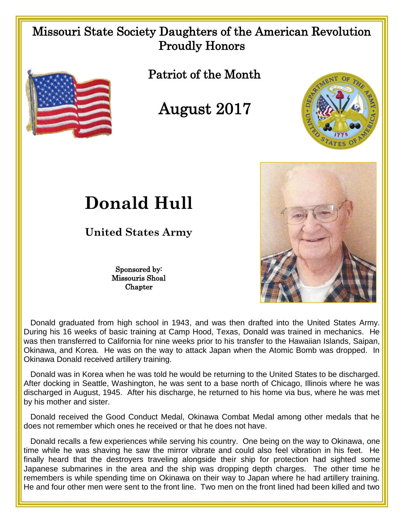## Missouri State Society Daughters of the American Revolution Proudly Honors



Patriot of the Month

August 2017





## **Donald Hull**

**United States Army**

Sponsored by: Missouris Shoal **Chapter** 

 Donald graduated from high school in 1943, and was then drafted into the United States Army. During his 16 weeks of basic training at Camp Hood, Texas, Donald was trained in mechanics. He was then transferred to California for nine weeks prior to his transfer to the Hawaiian Islands, Saipan, Okinawa, and Korea. He was on the way to attack Japan when the Atomic Bomb was dropped. In Okinawa Donald received artillery training.

 Donald was in Korea when he was told he would be returning to the United States to be discharged. After docking in Seattle, Washington, he was sent to a base north of Chicago, Illinois where he was discharged in August, 1945. After his discharge, he returned to his home via bus, where he was met by his mother and sister.

 Donald received the Good Conduct Medal, Okinawa Combat Medal among other medals that he does not remember which ones he received or that he does not have.

 Donald recalls a few experiences while serving his country. One being on the way to Okinawa, one time while he was shaving he saw the mirror vibrate and could also feel vibration in his feet. He finally heard that the destroyers traveling alongside their ship for protection had sighted some Japanese submarines in the area and the ship was dropping depth charges. The other time he remembers is while spending time on Okinawa on their way to Japan where he had artillery training. He and four other men were sent to the front line. Two men on the front lined had been killed and two